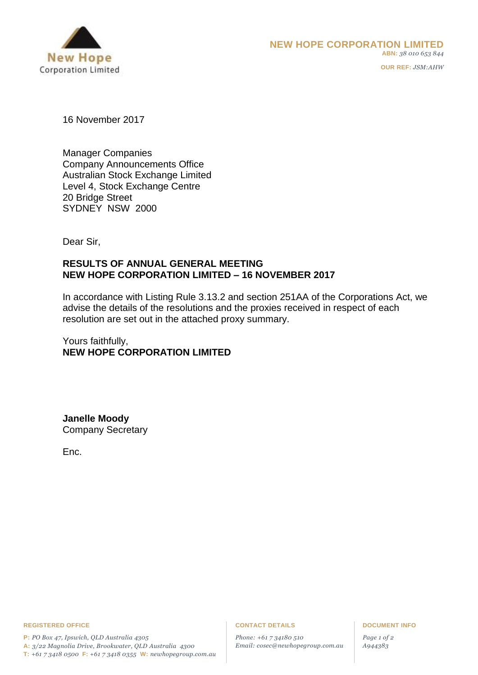

16 November 2017

Manager Companies Company Announcements Office Australian Stock Exchange Limited Level 4, Stock Exchange Centre 20 Bridge Street SYDNEY NSW 2000

Dear Sir,

# **RESULTS OF ANNUAL GENERAL MEETING NEW HOPE CORPORATION LIMITED – 16 NOVEMBER 2017**

In accordance with Listing Rule 3.13.2 and section 251AA of the Corporations Act, we advise the details of the resolutions and the proxies received in respect of each resolution are set out in the attached proxy summary.

Yours faithfully, **NEW HOPE CORPORATION LIMITED**

**Janelle Moody** Company Secretary

Enc.

### **REGISTERED OFFICE CONTACT DETAILS DOCUMENT INFO**

**P:** *PO Box 47, Ipswich, QLD Australia 4305*  **A:** *3/22 Magnolia Drive, Brookwater, QLD Australia 4300* **T:** *+61 7 3418 0500* **F:** *+61 7 3418 0355* **W:** *newhopegroup.com.au*

*Phone: +61 7 34180 510 Email: cosec@newhopegroup.com.au*

*Page 1 of 2 A944383*